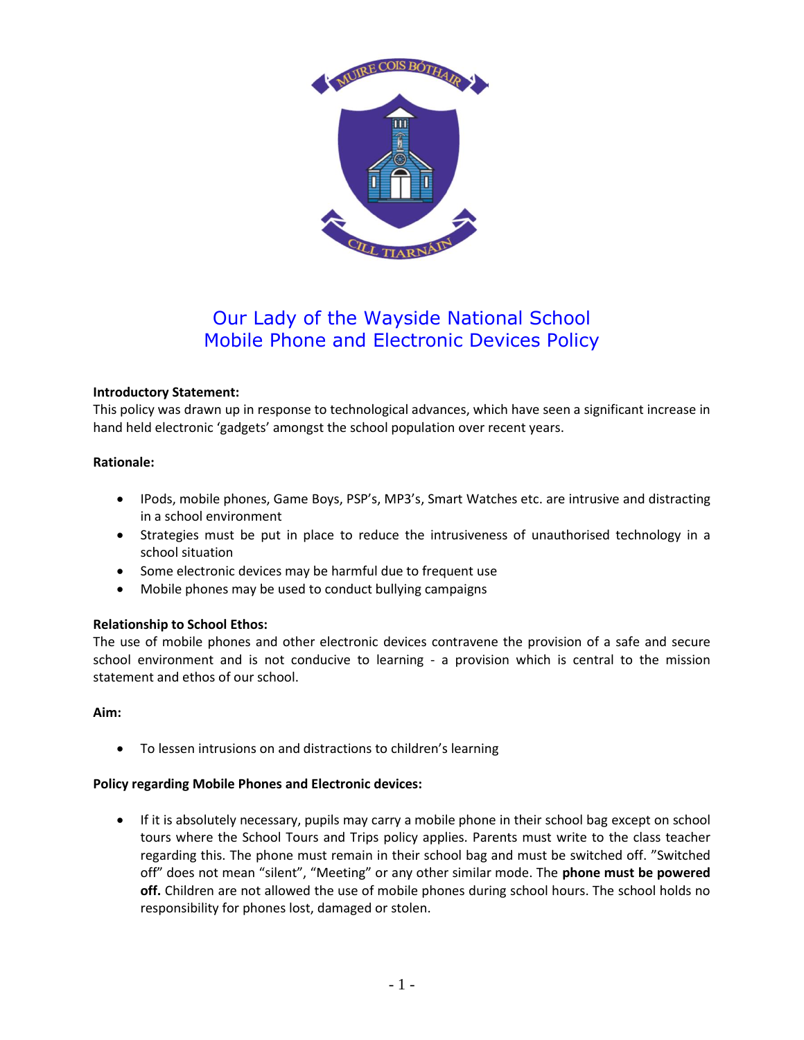

# Our Lady of the Wayside National School Mobile Phone and Electronic Devices Policy

## **Introductory Statement:**

This policy was drawn up in response to technological advances, which have seen a significant increase in hand held electronic 'gadgets' amongst the school population over recent years.

#### **Rationale:**

- IPods, mobile phones, Game Boys, PSP's, MP3's, Smart Watches etc. are intrusive and distracting in a school environment
- Strategies must be put in place to reduce the intrusiveness of unauthorised technology in a school situation
- Some electronic devices may be harmful due to frequent use
- Mobile phones may be used to conduct bullying campaigns

# **Relationship to School Ethos:**

The use of mobile phones and other electronic devices contravene the provision of a safe and secure school environment and is not conducive to learning - a provision which is central to the mission statement and ethos of our school.

#### **Aim:**

To lessen intrusions on and distractions to children's learning

#### **Policy regarding Mobile Phones and Electronic devices:**

 If it is absolutely necessary, pupils may carry a mobile phone in their school bag except on school tours where the School Tours and Trips policy applies. Parents must write to the class teacher regarding this. The phone must remain in their school bag and must be switched off. "Switched off" does not mean "silent", "Meeting" or any other similar mode. The **phone must be powered off.** Children are not allowed the use of mobile phones during school hours. The school holds no responsibility for phones lost, damaged or stolen.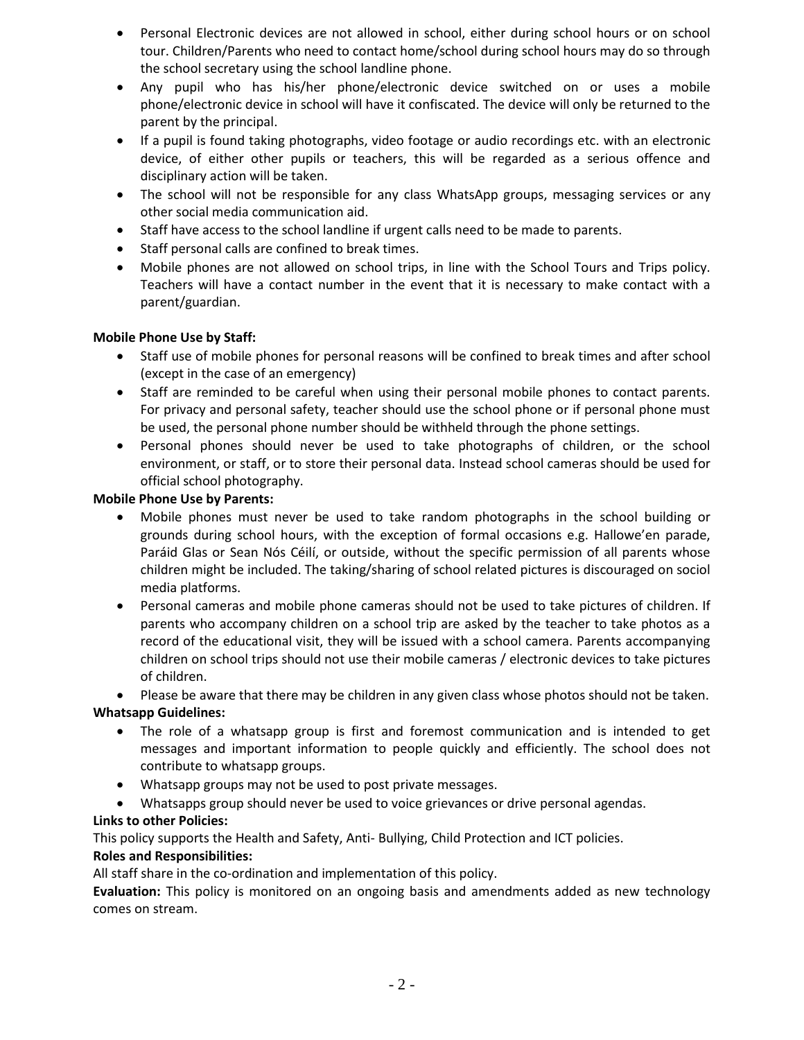- Personal Electronic devices are not allowed in school, either during school hours or on school tour. Children/Parents who need to contact home/school during school hours may do so through the school secretary using the school landline phone.
- Any pupil who has his/her phone/electronic device switched on or uses a mobile phone/electronic device in school will have it confiscated. The device will only be returned to the parent by the principal.
- If a pupil is found taking photographs, video footage or audio recordings etc. with an electronic device, of either other pupils or teachers, this will be regarded as a serious offence and disciplinary action will be taken.
- The school will not be responsible for any class WhatsApp groups, messaging services or any other social media communication aid.
- Staff have access to the school landline if urgent calls need to be made to parents.
- Staff personal calls are confined to break times.
- Mobile phones are not allowed on school trips, in line with the School Tours and Trips policy. Teachers will have a contact number in the event that it is necessary to make contact with a parent/guardian.

## **Mobile Phone Use by Staff:**

- Staff use of mobile phones for personal reasons will be confined to break times and after school (except in the case of an emergency)
- Staff are reminded to be careful when using their personal mobile phones to contact parents. For privacy and personal safety, teacher should use the school phone or if personal phone must be used, the personal phone number should be withheld through the phone settings.
- Personal phones should never be used to take photographs of children, or the school environment, or staff, or to store their personal data. Instead school cameras should be used for official school photography.

## **Mobile Phone Use by Parents:**

- Mobile phones must never be used to take random photographs in the school building or grounds during school hours, with the exception of formal occasions e.g. Hallowe'en parade, Paráid Glas or Sean Nós Céilí, or outside, without the specific permission of all parents whose children might be included. The taking/sharing of school related pictures is discouraged on sociol media platforms.
- Personal cameras and mobile phone cameras should not be used to take pictures of children. If parents who accompany children on a school trip are asked by the teacher to take photos as a record of the educational visit, they will be issued with a school camera. Parents accompanying children on school trips should not use their mobile cameras / electronic devices to take pictures of children.
- Please be aware that there may be children in any given class whose photos should not be taken.

# **Whatsapp Guidelines:**

- The role of a whatsapp group is first and foremost communication and is intended to get messages and important information to people quickly and efficiently. The school does not contribute to whatsapp groups.
- Whatsapp groups may not be used to post private messages.
- Whatsapps group should never be used to voice grievances or drive personal agendas.

# **Links to other Policies:**

This policy supports the Health and Safety, Anti- Bullying, Child Protection and ICT policies.

# **Roles and Responsibilities:**

All staff share in the co-ordination and implementation of this policy.

**Evaluation:** This policy is monitored on an ongoing basis and amendments added as new technology comes on stream.